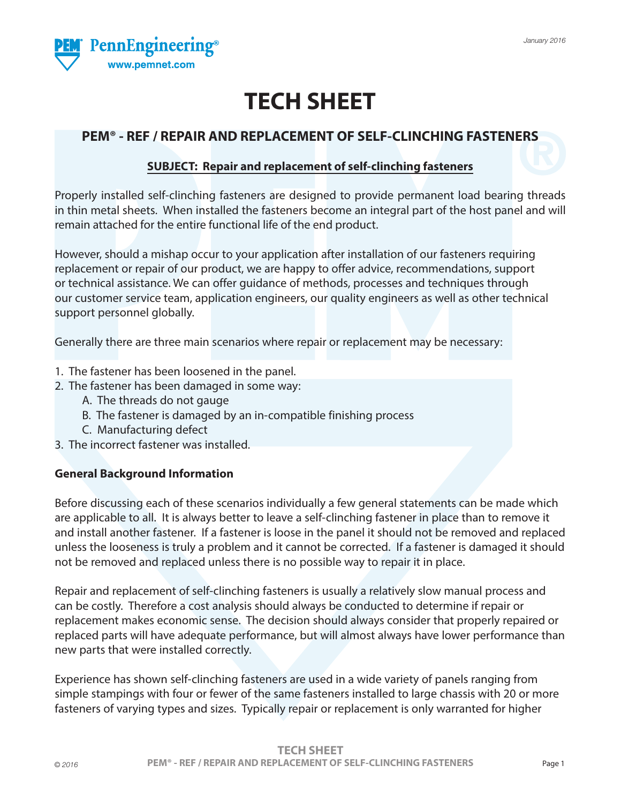

# **TECH SHEET**

### **PEM® - REF / REPAIR AND REPLACEMENT OF SELF-CLINCHING FASTENERS**

#### **SUBJECT: Repair and replacement of self-clinching fasteners**

Properly installed self-clinching fasteners are designed to provide permanent load bearing threads in thin metal sheets. When installed the fasteners become an integral part of the host panel and will remain attached for the entire functional life of the end product.

However, should a mishap occur to your application after installation of our fasteners requiring replacement or repair of our product, we are happy to offer advice, recommendations, support or technical assistance. We can offer guidance of methods, processes and techniques through our customer service team, application engineers, our quality engineers as well as other technical support personnel globally.

Generally there are three main scenarios where repair or replacement may be necessary:

- 1. The fastener has been loosened in the panel.
- 2. The fastener has been damaged in some way:
	- A. The threads do not gauge
	- B. The fastener is damaged by an in-compatible finishing process
	- C. Manufacturing defect
- 3. The incorrect fastener was installed.

#### **General Background Information**

Before discussing each of these scenarios individually a few general statements can be made which are applicable to all. It is always better to leave a self-clinching fastener in place than to remove it and install another fastener. If a fastener is loose in the panel it should not be removed and replaced unless the looseness is truly a problem and it cannot be corrected. If a fastener is damaged it should not be removed and replaced unless there is no possible way to repair it in place.

Repair and replacement of self-clinching fasteners is usually a relatively slow manual process and can be costly. Therefore a cost analysis should always be conducted to determine if repair or replacement makes economic sense. The decision should always consider that properly repaired or replaced parts will have adequate performance, but will almost always have lower performance than new parts that were installed correctly.

Experience has shown self-clinching fasteners are used in a wide variety of panels ranging from simple stampings with four or fewer of the same fasteners installed to large chassis with 20 or more fasteners of varying types and sizes. Typically repair or replacement is only warranted for higher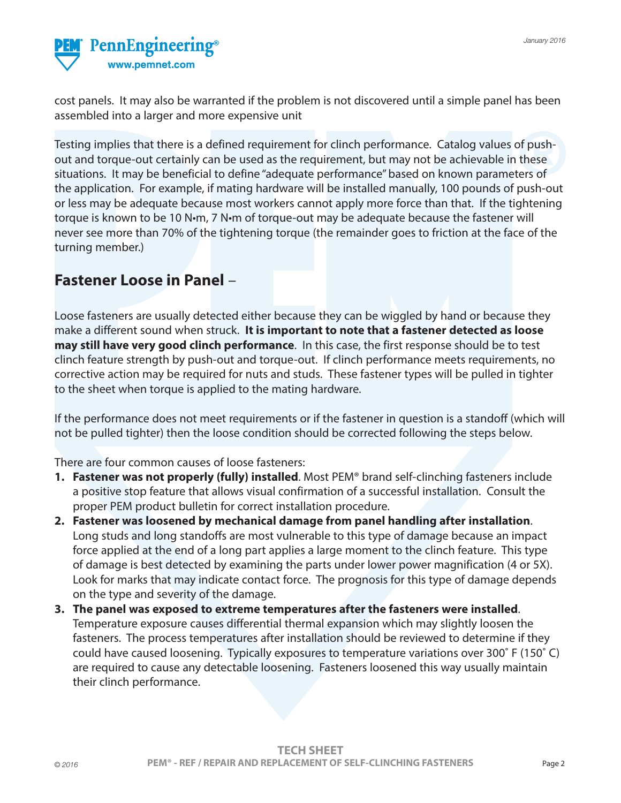

cost panels. It may also be warranted if the problem is not discovered until a simple panel has been assembled into a larger and more expensive unit

Testing implies that there is a defined requirement for clinch performance. Catalog values of pushout and torque-out certainly can be used as the requirement, but may not be achievable in these situations. It may be beneficial to define "adequate performance" based on known parameters of the application. For example, if mating hardware will be installed manually, 100 pounds of push-out or less may be adequate because most workers cannot apply more force than that. If the tightening torque is known to be 10 N•m, 7 N•m of torque-out may be adequate because the fastener will never see more than 70% of the tightening torque (the remainder goes to friction at the face of the turning member.)

### **Fastener Loose in Panel** –

Loose fasteners are usually detected either because they can be wiggled by hand or because they make a different sound when struck. **It is important to note that a fastener detected as loose may still have very good clinch performance**. In this case, the first response should be to test clinch feature strength by push-out and torque-out. If clinch performance meets requirements, no corrective action may be required for nuts and studs. These fastener types will be pulled in tighter to the sheet when torque is applied to the mating hardware.

If the performance does not meet requirements or if the fastener in question is a standoff (which will not be pulled tighter) then the loose condition should be corrected following the steps below.

There are four common causes of loose fasteners:

- **1. Fastener was not properly (fully) installed**. Most PEM® brand self-clinching fasteners include a positive stop feature that allows visual confirmation of a successful installation. Consult the proper PEM product bulletin for correct installation procedure.
- **2. Fastener was loosened by mechanical damage from panel handling after installation**. Long studs and long standoffs are most vulnerable to this type of damage because an impact force applied at the end of a long part applies a large moment to the clinch feature. This type of damage is best detected by examining the parts under lower power magnification (4 or 5X). Look for marks that may indicate contact force. The prognosis for this type of damage depends on the type and severity of the damage.
- **3. The panel was exposed to extreme temperatures after the fasteners were installed**. Temperature exposure causes differential thermal expansion which may slightly loosen the fasteners. The process temperatures after installation should be reviewed to determine if they could have caused loosening. Typically exposures to temperature variations over 300˚ F (150˚ C) are required to cause any detectable loosening. Fasteners loosened this way usually maintain their clinch performance.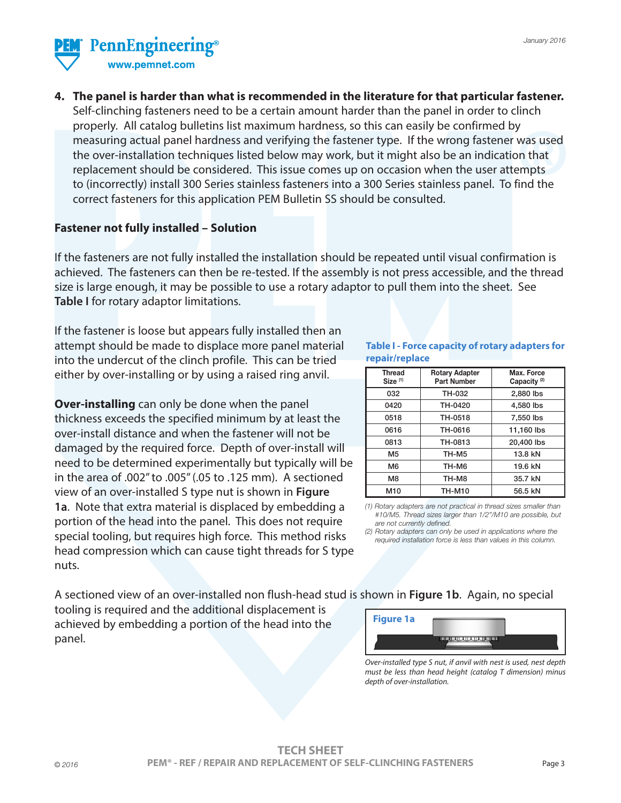

**4. The panel is harder than what is recommended in the literature for that particular fastener.** Self-clinching fasteners need to be a certain amount harder than the panel in order to clinch properly. All catalog bulletins list maximum hardness, so this can easily be confirmed by measuring actual panel hardness and verifying the fastener type. If the wrong fastener was used the over-installation techniques listed below may work, but it might also be an indication that replacement should be considered. This issue comes up on occasion when the user attempts to (incorrectly) install 300 Series stainless fasteners into a 300 Series stainless panel. To find the correct fasteners for this application PEM Bulletin SS should be consulted.

#### **Fastener not fully installed – Solution**

If the fasteners are not fully installed the installation should be repeated until visual confirmation is achieved. The fasteners can then be re-tested. If the assembly is not press accessible, and the thread size is large enough, it may be possible to use a rotary adaptor to pull them into the sheet. See **Table I** for rotary adaptor limitations.

If the fastener is loose but appears fully installed then an attempt should be made to displace more panel material into the undercut of the clinch profile. This can be tried either by over-installing or by using a raised ring anvil.

**Over-installing** can only be done when the panel thickness exceeds the specified minimum by at least the over-install distance and when the fastener will not be damaged by the required force. Depth of over-install will need to be determined experimentally but typically will be in the area of .002" to .005" (.05 to .125 mm). A sectioned view of an over-installed S type nut is shown in **Figure 1a**. Note that extra material is displaced by embedding a portion of the head into the panel. This does not require special tooling, but requires high force. This method risks head compression which can cause tight threads for S type nuts.

**Table I - Force capacity of rotary adapters for repair/replace**

| <b>Thread</b><br>Size <sup>(1)</sup> | <b>Rotary Adapter</b><br><b>Part Number</b> | Max. Force<br>Capacity <sup>(2)</sup> |
|--------------------------------------|---------------------------------------------|---------------------------------------|
| 032                                  | TH-032                                      | 2,880 lbs                             |
| 0420                                 | TH-0420                                     | 4,580 lbs                             |
| 0518                                 | TH-0518                                     | 7,550 lbs                             |
| 0616                                 | TH-0616                                     | 11,160 lbs                            |
| 0813                                 | TH-0813                                     | 20,400 lbs                            |
| M <sub>5</sub>                       | TH-M5                                       | 13.8 kN                               |
| M6                                   | TH-M6                                       | 19.6 kN                               |
| M8                                   | TH-M8                                       | 35.7 kN                               |
| M10                                  | <b>TH-M10</b>                               | 56.5 kN                               |

*(1) Rotary adapters are not practical in thread sizes smaller than #10/M5. Thread sizes larger than 1/2"/M10 are possible, but are not currently defined.*

*(2) Rotary adapters can only be used in applications where the required installation force is less than values in this column.*

A sectioned view of an over-installed non flush-head stud is shown in **Figure 1b**. Again, no special

tooling is required and the additional displacement is achieved by embedding a portion of the head into the panel.

| <b>Figure 1a</b> |       |
|------------------|-------|
|                  | TЕTTI |

*Over-installed type S nut, if anvil with nest is used, nest depth must be less than head height (catalog T dimension) minus depth of over-installation.*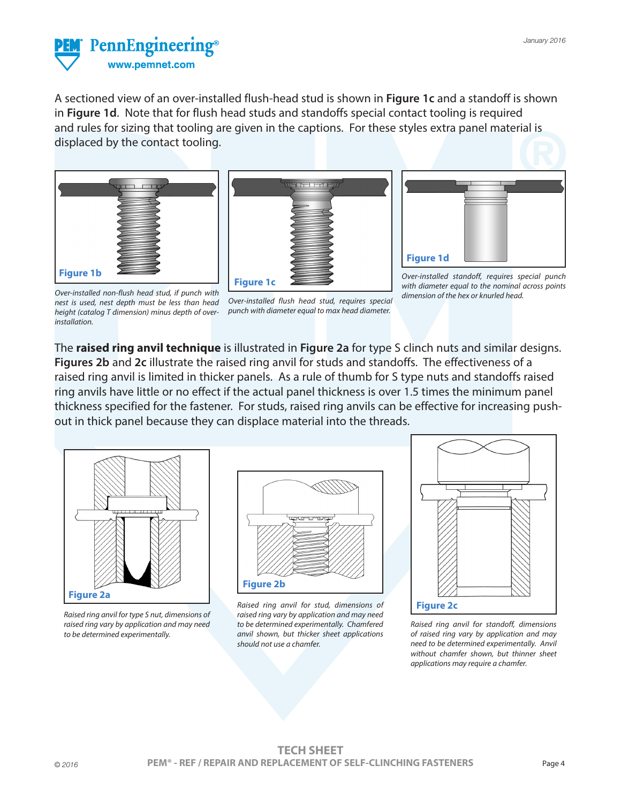

A sectioned view of an over-installed flush-head stud is shown in **Figure 1c** and a standoff is shown in **Figure 1d**. Note that for flush head studs and standoffs special contact tooling is required and rules for sizing that tooling are given in the captions. For these styles extra panel material is displaced by the contact tooling.







*Over-installed standoff, requires special punch with diameter equal to the nominal across points dimension of the hex or knurled head.*

*Over-installed non-flush head stud, if punch with nest is used, nest depth must be less than head height (catalog T dimension) minus depth of overinstallation.*

*Over-installed flush head stud, requires special punch with diameter equal to max head diameter.*

The **raised ring anvil technique** is illustrated in **Figure 2a** for type S clinch nuts and similar designs. **Figures 2b** and **2c** illustrate the raised ring anvil for studs and standoffs. The effectiveness of a raised ring anvil is limited in thicker panels. As a rule of thumb for S type nuts and standoffs raised ring anvils have little or no effect if the actual panel thickness is over 1.5 times the minimum panel thickness specified for the fastener. For studs, raised ring anvils can be effective for increasing pushout in thick panel because they can displace material into the threads.



*Raised ring anvil for type S nut, dimensions of raised ring vary by application and may need to be determined experimentally.*



*Raised ring anvil for stud, dimensions of raised ring vary by application and may need to be determined experimentally. Chamfered anvil shown, but thicker sheet applications should not use a chamfer.*



*Raised ring anvil for standoff, dimensions of raised ring vary by application and may need to be determined experimentally. Anvil without chamfer shown, but thinner sheet applications may require a chamfer.*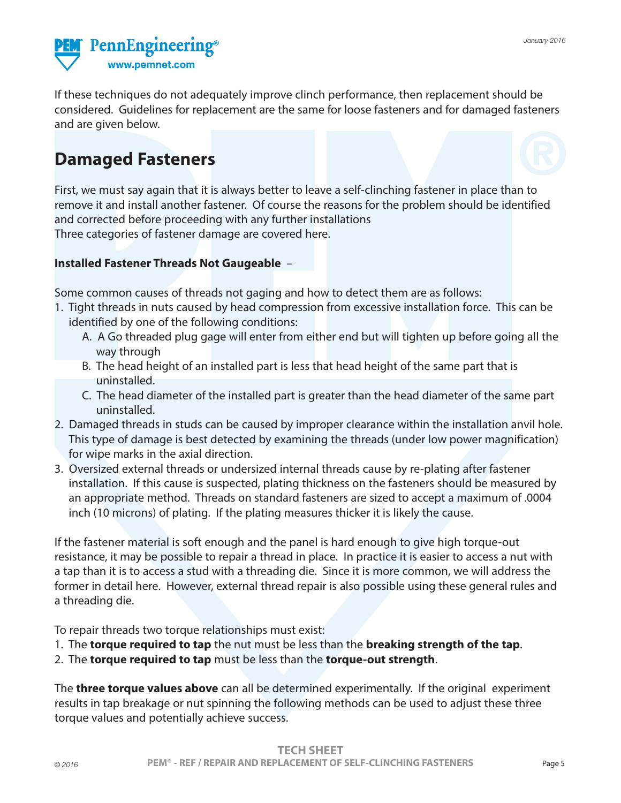

If these techniques do not adequately improve clinch performance, then replacement should be considered. Guidelines for replacement are the same for loose fasteners and for damaged fasteners and are given below.

## **Damaged Fasteners**

First, we must say again that it is always better to leave a self-clinching fastener in place than to remove it and install another fastener. Of course the reasons for the problem should be identified and corrected before proceeding with any further installations Three categories of fastener damage are covered here.

#### **Installed Fastener Threads Not Gaugeable** –

Some common causes of threads not gaging and how to detect them are as follows:

- 1. Tight threads in nuts caused by head compression from excessive installation force. This can be identified by one of the following conditions:
	- A. A Go threaded plug gage will enter from either end but will tighten up before going all the way through
	- B. The head height of an installed part is less that head height of the same part that is uninstalled.
	- C. The head diameter of the installed part is greater than the head diameter of the same part uninstalled.
- 2. Damaged threads in studs can be caused by improper clearance within the installation anvil hole. This type of damage is best detected by examining the threads (under low power magnification) for wipe marks in the axial direction.
- 3. Oversized external threads or undersized internal threads cause by re-plating after fastener installation. If this cause is suspected, plating thickness on the fasteners should be measured by an appropriate method. Threads on standard fasteners are sized to accept a maximum of .0004 inch (10 microns) of plating. If the plating measures thicker it is likely the cause.

If the fastener material is soft enough and the panel is hard enough to give high torque-out resistance, it may be possible to repair a thread in place. In practice it is easier to access a nut with a tap than it is to access a stud with a threading die. Since it is more common, we will address the former in detail here. However, external thread repair is also possible using these general rules and a threading die.

To repair threads two torque relationships must exist:

- 1. The **torque required to tap** the nut must be less than the **breaking strength of the tap**.
- 2. The **torque required to tap** must be less than the **torque-out strength**.

The **three torque values above** can all be determined experimentally. If the original experiment results in tap breakage or nut spinning the following methods can be used to adjust these three torque values and potentially achieve success.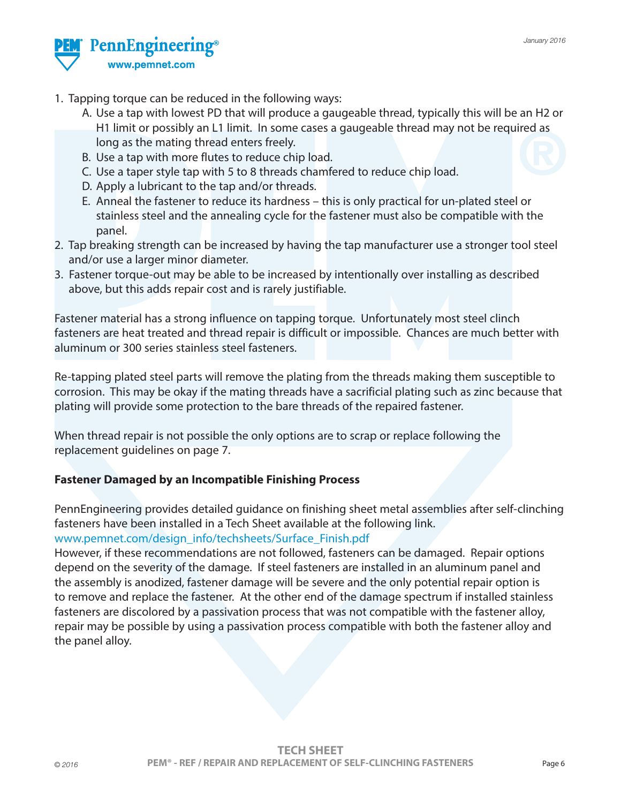

- 1. Tapping torque can be reduced in the following ways:
	- A. Use a tap with lowest PD that will produce a gaugeable thread, typically this will be an H2 or H1 limit or possibly an L1 limit. In some cases a gaugeable thread may not be required as long as the mating thread enters freely.
	- B. Use a tap with more flutes to reduce chip load.
	- C. Use a taper style tap with 5 to 8 threads chamfered to reduce chip load.
	- D. Apply a lubricant to the tap and/or threads.
	- E. Anneal the fastener to reduce its hardness this is only practical for un-plated steel or stainless steel and the annealing cycle for the fastener must also be compatible with the panel.
- 2. Tap breaking strength can be increased by having the tap manufacturer use a stronger tool steel and/or use a larger minor diameter.
- 3. Fastener torque-out may be able to be increased by intentionally over installing as described above, but this adds repair cost and is rarely justifiable.

Fastener material has a strong influence on tapping torque. Unfortunately most steel clinch fasteners are heat treated and thread repair is difficult or impossible. Chances are much better with aluminum or 300 series stainless steel fasteners.

Re-tapping plated steel parts will remove the plating from the threads making them susceptible to corrosion. This may be okay if the mating threads have a sacrificial plating such as zinc because that plating will provide some protection to the bare threads of the repaired fastener.

When thread repair is not possible the only options are to scrap or replace following the replacement guidelines on page 7.

#### **Fastener Damaged by an Incompatible Finishing Process**

PennEngineering provides detailed guidance on finishing sheet metal assemblies after self-clinching fasteners have been installed in a Tech Sheet available at the following link. www.pemnet.com/design\_info/techsheets/Surface\_Finish.pdf

However, if these recommendations are not followed, fasteners can be damaged. Repair options depend on the severity of the damage. If steel fasteners are installed in an aluminum panel and the assembly is anodized, fastener damage will be severe and the only potential repair option is to remove and replace the fastener. At the other end of the damage spectrum if installed stainless fasteners are discolored by a passivation process that was not compatible with the fastener alloy, repair may be possible by using a passivation process compatible with both the fastener alloy and the panel alloy.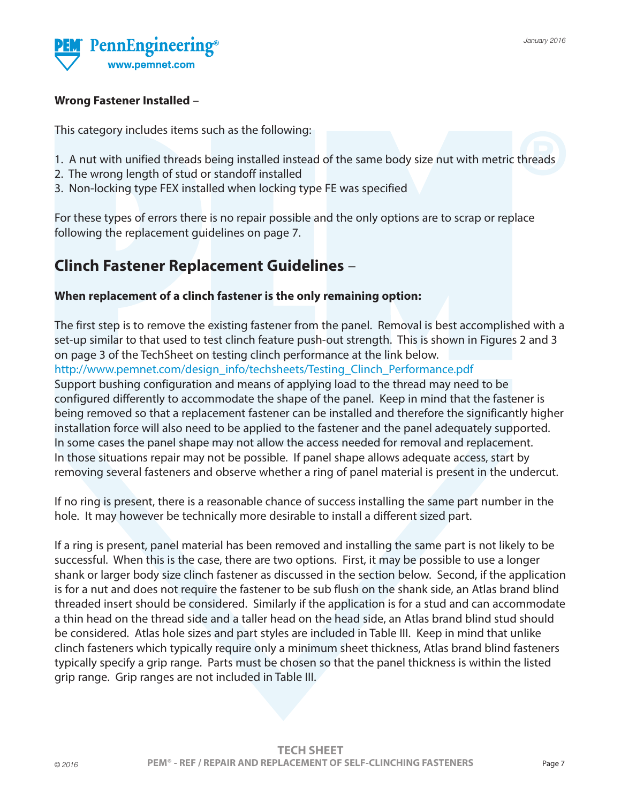

#### **Wrong Fastener Installed** –

This category includes items such as the following:

- 1. A nut with unified threads being installed instead of the same body size nut with metric threads
- 2. The wrong length of stud or standoff installed
- 3. Non-locking type FEX installed when locking type FE was specified

For these types of errors there is no repair possible and the only options are to scrap or replace following the replacement guidelines on page 7.

### **Clinch Fastener Replacement Guidelines** –

#### **When replacement of a clinch fastener is the only remaining option:**

The first step is to remove the existing fastener from the panel. Removal is best accomplished with a set-up similar to that used to test clinch feature push-out strength. This is shown in Figures 2 and 3 on page 3 of the TechSheet on testing clinch performance at the link below. http://www.pemnet.com/design\_info/techsheets/Testing\_Clinch\_Performance.pdf

Support bushing configuration and means of applying load to the thread may need to be configured differently to accommodate the shape of the panel. Keep in mind that the fastener is being removed so that a replacement fastener can be installed and therefore the significantly higher installation force will also need to be applied to the fastener and the panel adequately supported. In some cases the panel shape may not allow the access needed for removal and replacement. In those situations repair may not be possible. If panel shape allows adequate access, start by removing several fasteners and observe whether a ring of panel material is present in the undercut.

If no ring is present, there is a reasonable chance of success installing the same part number in the hole. It may however be technically more desirable to install a different sized part.

If a ring is present, panel material has been removed and installing the same part is not likely to be successful. When this is the case, there are two options. First, it may be possible to use a longer shank or larger body size clinch fastener as discussed in the section below. Second, if the application is for a nut and does not require the fastener to be sub flush on the shank side, an Atlas brand blind threaded insert should be considered. Similarly if the application is for a stud and can accommodate a thin head on the thread side and a taller head on the head side, an Atlas brand blind stud should be considered. Atlas hole sizes and part styles are included in Table III. Keep in mind that unlike clinch fasteners which typically require only a minimum sheet thickness, Atlas brand blind fasteners typically specify a grip range. Parts must be chosen so that the panel thickness is within the listed grip range. Grip ranges are not included in Table III.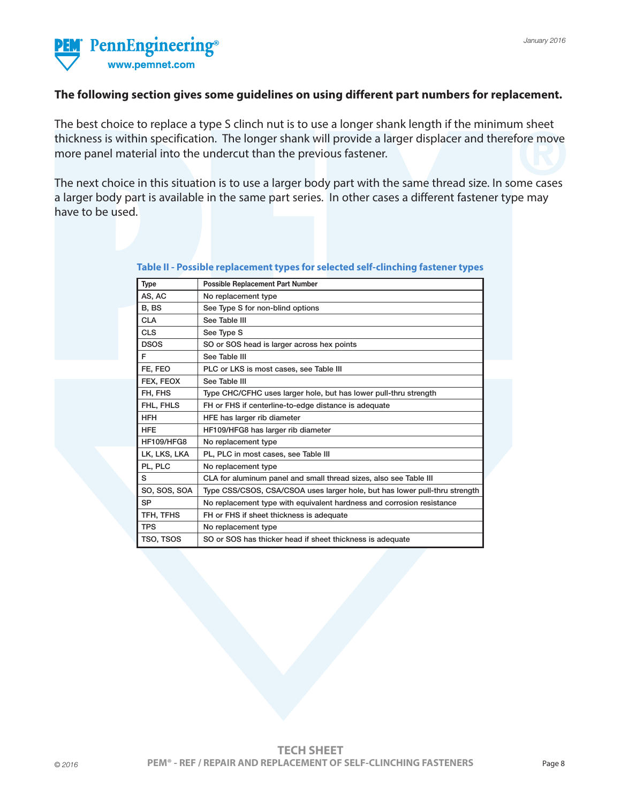

#### **The following section gives some guidelines on using different part numbers for replacement.**

The best choice to replace a type S clinch nut is to use a longer shank length if the minimum sheet thickness is within specification. The longer shank will provide a larger displacer and therefore move more panel material into the undercut than the previous fastener.

The next choice in this situation is to use a larger body part with the same thread size. In some cases a larger body part is available in the same part series. In other cases a different fastener type may have to be used.

| <b>Type</b>       | <b>Possible Replacement Part Number</b>                                    |
|-------------------|----------------------------------------------------------------------------|
| AS, AC            | No replacement type                                                        |
| B, BS             | See Type S for non-blind options                                           |
| <b>CLA</b>        | See Table III                                                              |
| <b>CLS</b>        | See Type S                                                                 |
| <b>DSOS</b>       | SO or SOS head is larger across hex points                                 |
| F                 | See Table III                                                              |
| FE. FEO           | PLC or LKS is most cases, see Table III                                    |
| FEX, FEOX         | See Table III                                                              |
| FH, FHS           | Type CHC/CFHC uses larger hole, but has lower pull-thru strength           |
| FHL, FHLS         | FH or FHS if centerline-to-edge distance is adequate                       |
| <b>HFH</b>        | HFE has larger rib diameter                                                |
| <b>HFF</b>        | HF109/HFG8 has larger rib diameter                                         |
| <b>HF109/HFG8</b> | No replacement type                                                        |
| LK, LKS, LKA      | PL, PLC in most cases, see Table III                                       |
| PL, PLC           | No replacement type                                                        |
| S                 | CLA for aluminum panel and small thread sizes, also see Table III          |
| SO, SOS, SOA      | Type CSS/CSOS, CSA/CSOA uses larger hole, but has lower pull-thru strength |
| <b>SP</b>         | No replacement type with equivalent hardness and corrosion resistance      |
| TFH, TFHS         | FH or FHS if sheet thickness is adequate                                   |
| <b>TPS</b>        | No replacement type                                                        |
| TSO, TSOS         | SO or SOS has thicker head if sheet thickness is adequate                  |
|                   |                                                                            |

**Table II - Possible replacement types for selected self-clinching fastener types**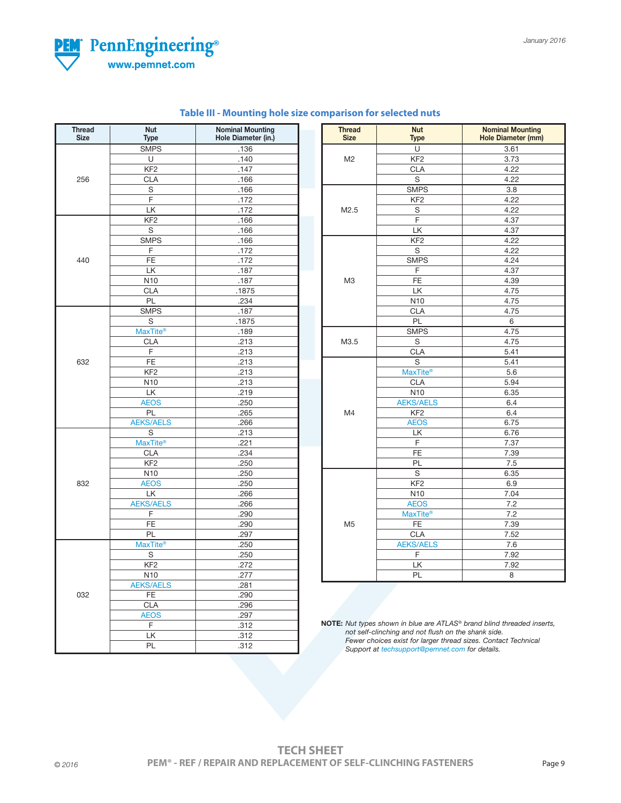

**Thread Nut Nominal Mounting Size Type Hole Diameter (in.)**

 $\begin{array}{|c|c|c|c|c|}\n\hline\n\text{140} & \text{140}\n\hline\n\end{array}$ **KF2** .147 256 CLA .166 S .166 F .172  $LK$  .172 KF2 .166  $S$  .166

 $\begin{array}{|c|c|c|c|c|c|}\n\hline\n\text{F} & \text{F} & \text{I72}\n\hline\n\end{array}$ 440 FE .172 LK .187  $\begin{array}{|c|c|c|c|c|}\n\hline\n\text{N10} & \text{N187}\n\hline\n\end{array}$  $CLA$  .1875 <u>PL . 234</u> SMPS .187 S  $\sim$  1875

<u>CLA .213</u> F  $\qquad$  .213 632 FE .213 <u>Note 213</u> .213  $N10$  .213  $L$ K .219 <u>and AEOS</u> 250  $PL$  .265

 $S$  .213

**CLA** .234 KF2 .250  $N10$  ...  $250$ 832 AEOS .250<br>LK .266  $LK$  .266

F .290 <u>is the set of the set of the set of the set of the set of the set of the set of the set of the set of the set o</u> **PL** .297

 $S$  .250 **KF2** .272  $N10$  .277 AEKS/AELS .281<br>032 FE .290 032 FE .290 <u>is a clear to clear that the contract of the contract of the contract of the contract of the contract of the c</u> <u>AEOS</u> 297 F .312  $L$ K .312 | PL | .312

SMPS .136

SMPS .166<br>F .172

MaxTite® .189<br>CLA .213

AEKS/AELS 266

MaxTite<sup>®</sup> 221<br>CLA 234

AEKS/AELS 266

MaxTite<sup>®</sup> 250<br>S 250

| <b>Thread</b><br><b>Size</b> | <b>Nut</b><br><b>Type</b>      | <b>Nominal Mounting</b><br><b>Hole Diameter (mm)</b>                                                                                                                                                                          |
|------------------------------|--------------------------------|-------------------------------------------------------------------------------------------------------------------------------------------------------------------------------------------------------------------------------|
|                              | U                              | 3.61                                                                                                                                                                                                                          |
| M <sub>2</sub>               | KF <sub>2</sub>                | 3.73                                                                                                                                                                                                                          |
|                              | <b>CLA</b>                     | 4.22                                                                                                                                                                                                                          |
|                              | S                              | 4.22                                                                                                                                                                                                                          |
|                              | <b>SMPS</b>                    | 3.8                                                                                                                                                                                                                           |
|                              | KF <sub>2</sub>                | 4.22                                                                                                                                                                                                                          |
| M <sub>2.5</sub>             | S                              | 4.22                                                                                                                                                                                                                          |
|                              | F.                             | 4.37                                                                                                                                                                                                                          |
|                              | LK                             | 4.37                                                                                                                                                                                                                          |
|                              | KF <sub>2</sub>                | 4.22                                                                                                                                                                                                                          |
|                              | S                              | 4.22                                                                                                                                                                                                                          |
|                              | <b>SMPS</b>                    | 4.24                                                                                                                                                                                                                          |
|                              | F                              | 4.37<br>4.39<br>4.75<br>4.75<br>4.75<br>6<br>4.75<br>4.75<br>5.41<br>5.41<br>5.6<br>5.94<br>6.35<br>6.4<br>6.4<br>6.75<br>6.76<br>7.37<br>7.39<br>$7.5\,$<br>6.35<br>6.9<br>7.04<br>7.2<br>7.2<br>7.39<br>7.52<br>7.6<br>7.92 |
| M <sub>3</sub>               | FE                             |                                                                                                                                                                                                                               |
|                              | LK.                            |                                                                                                                                                                                                                               |
|                              | N10                            |                                                                                                                                                                                                                               |
|                              | <b>CLA</b>                     |                                                                                                                                                                                                                               |
|                              | PL                             |                                                                                                                                                                                                                               |
|                              | <b>SMPS</b>                    |                                                                                                                                                                                                                               |
| M3.5                         | S                              |                                                                                                                                                                                                                               |
|                              | <b>CLA</b>                     |                                                                                                                                                                                                                               |
|                              | S<br><b>MaxTite®</b>           |                                                                                                                                                                                                                               |
|                              |                                |                                                                                                                                                                                                                               |
|                              | <b>CLA</b>                     |                                                                                                                                                                                                                               |
|                              | N10                            |                                                                                                                                                                                                                               |
|                              | <b>AEKS/AELS</b>               |                                                                                                                                                                                                                               |
| M4                           | KF <sub>2</sub>                |                                                                                                                                                                                                                               |
|                              | <b>AEOS</b>                    |                                                                                                                                                                                                                               |
|                              | LК                             | 7.92<br>8                                                                                                                                                                                                                     |
|                              | F.                             |                                                                                                                                                                                                                               |
|                              | <b>FE</b>                      |                                                                                                                                                                                                                               |
|                              | <b>PL</b>                      |                                                                                                                                                                                                                               |
|                              | S<br>KF <sub>2</sub>           |                                                                                                                                                                                                                               |
|                              | N <sub>10</sub>                |                                                                                                                                                                                                                               |
|                              |                                |                                                                                                                                                                                                                               |
|                              | <b>AEOS</b><br><b>MaxTite®</b> |                                                                                                                                                                                                                               |
| M <sub>5</sub>               | FE                             |                                                                                                                                                                                                                               |
|                              | <b>CLA</b>                     |                                                                                                                                                                                                                               |
|                              | <b>AEKS/AELS</b>               |                                                                                                                                                                                                                               |
|                              | F                              |                                                                                                                                                                                                                               |
|                              | LK                             |                                                                                                                                                                                                                               |
|                              | PL                             |                                                                                                                                                                                                                               |

**NOTE:** *Nut types shown in blue are ATLAS® brand blind threaded inserts, not self-clinching and not flush on the shank side. Fewer choices exist for larger thread sizes. Contact Technical Support at techsupport@pemnet.com for details.*

|        | <b>TECH SHEET</b>                                                                 |        |
|--------|-----------------------------------------------------------------------------------|--------|
| © 2016 | <b>PEM<sup>®</sup> - REF / REPAIR AND REPLACEMENT OF SELF-CLINCHING FASTENERS</b> | Page 9 |

#### **Table III - Mounting hole size c**